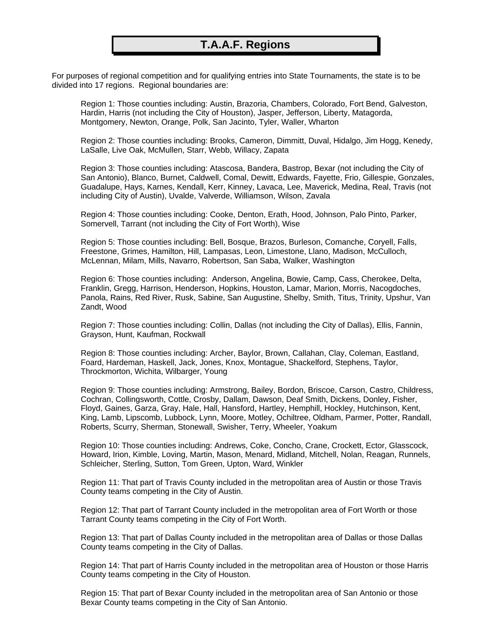## **T.A.A.F. Regions**

For purposes of regional competition and for qualifying entries into State Tournaments, the state is to be divided into 17 regions. Regional boundaries are:

Region 1: Those counties including: Austin, Brazoria, Chambers, Colorado, Fort Bend, Galveston, Hardin, Harris (not including the City of Houston), Jasper, Jefferson, Liberty, Matagorda, Montgomery, Newton, Orange, Polk, San Jacinto, Tyler, Waller, Wharton

Region 2: Those counties including: Brooks, Cameron, Dimmitt, Duval, Hidalgo, Jim Hogg, Kenedy, LaSalle, Live Oak, McMullen, Starr, Webb, Willacy, Zapata

Region 3: Those counties including: Atascosa, Bandera, Bastrop, Bexar (not including the City of San Antonio), Blanco, Burnet, Caldwell, Comal, Dewitt, Edwards, Fayette, Frio, Gillespie, Gonzales, Guadalupe, Hays, Karnes, Kendall, Kerr, Kinney, Lavaca, Lee, Maverick, Medina, Real, Travis (not including City of Austin), Uvalde, Valverde, Williamson, Wilson, Zavala

Region 4: Those counties including: Cooke, Denton, Erath, Hood, Johnson, Palo Pinto, Parker, Somervell, Tarrant (not including the City of Fort Worth), Wise

Region 5: Those counties including: Bell, Bosque, Brazos, Burleson, Comanche, Coryell, Falls, Freestone, Grimes, Hamilton, Hill, Lampasas, Leon, Limestone, Llano, Madison, McCulloch, McLennan, Milam, Mills, Navarro, Robertson, San Saba, Walker, Washington

Region 6: Those counties including: Anderson, Angelina, Bowie, Camp, Cass, Cherokee, Delta, Franklin, Gregg, Harrison, Henderson, Hopkins, Houston, Lamar, Marion, Morris, Nacogdoches, Panola, Rains, Red River, Rusk, Sabine, San Augustine, Shelby, Smith, Titus, Trinity, Upshur, Van Zandt, Wood

Region 7: Those counties including: Collin, Dallas (not including the City of Dallas), Ellis, Fannin, Grayson, Hunt, Kaufman, Rockwall

Region 8: Those counties including: Archer, Baylor, Brown, Callahan, Clay, Coleman, Eastland, Foard, Hardeman, Haskell, Jack, Jones, Knox, Montague, Shackelford, Stephens, Taylor, Throckmorton, Wichita, Wilbarger, Young

Region 9: Those counties including: Armstrong, Bailey, Bordon, Briscoe, Carson, Castro, Childress, Cochran, Collingsworth, Cottle, Crosby, Dallam, Dawson, Deaf Smith, Dickens, Donley, Fisher, Floyd, Gaines, Garza, Gray, Hale, Hall, Hansford, Hartley, Hemphill, Hockley, Hutchinson, Kent, King, Lamb, Lipscomb, Lubbock, Lynn, Moore, Motley, Ochiltree, Oldham, Parmer, Potter, Randall, Roberts, Scurry, Sherman, Stonewall, Swisher, Terry, Wheeler, Yoakum

Region 10: Those counties including: Andrews, Coke, Concho, Crane, Crockett, Ector, Glasscock, Howard, Irion, Kimble, Loving, Martin, Mason, Menard, Midland, Mitchell, Nolan, Reagan, Runnels, Schleicher, Sterling, Sutton, Tom Green, Upton, Ward, Winkler

Region 11: That part of Travis County included in the metropolitan area of Austin or those Travis County teams competing in the City of Austin.

Region 12: That part of Tarrant County included in the metropolitan area of Fort Worth or those Tarrant County teams competing in the City of Fort Worth.

Region 13: That part of Dallas County included in the metropolitan area of Dallas or those Dallas County teams competing in the City of Dallas.

Region 14: That part of Harris County included in the metropolitan area of Houston or those Harris County teams competing in the City of Houston.

Region 15: That part of Bexar County included in the metropolitan area of San Antonio or those Bexar County teams competing in the City of San Antonio.